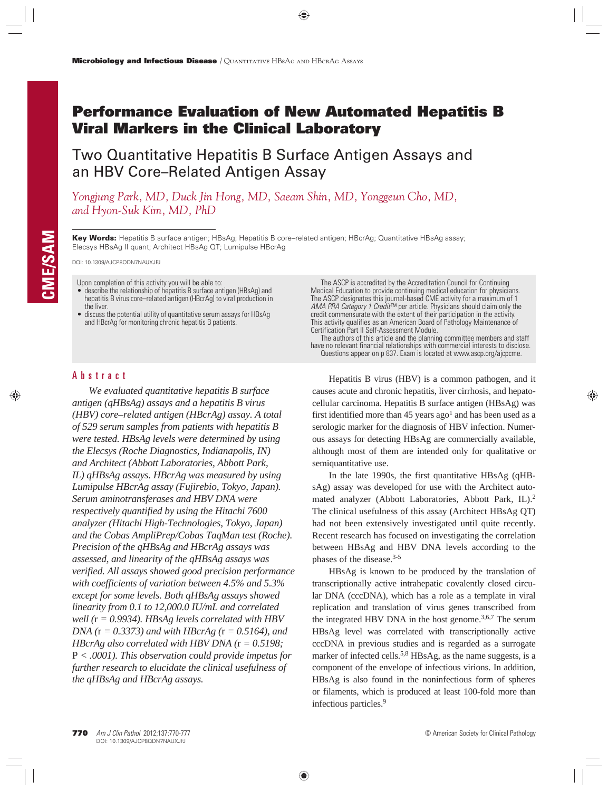# **Performance Evaluation of New Automated Hepatitis B Viral Markers in the Clinical Laboratory**

Two Quantitative Hepatitis B Surface Antigen Assays and an HBV Core–Related Antigen Assay

*Yongjung Park, MD, Duck Jin Hong, MD, Saeam Shin, MD, Yonggeun Cho, MD, and Hyon-Suk Kim, MD, PhD*

**Key Words:** Hepatitis B surface antigen; HBsAg; Hepatitis B core–related antigen; HBcrAg; Quantitative HBsAg assay; Elecsys HBsAg II quant; Architect HBsAg QT; Lumipulse HBcrAg

DOI: 10.1309/AJCP8QDN7NAUXJFJ

Upon completion of this activity you will be able to:

- describe the relationship of hepatitis B surface antigen (HBsAg) and hepatitis B virus core–related antigen (HBcrAg) to viral production in the liver.
- discuss the potential utility of quantitative serum assays for HBsAg and HBcrAg for monitoring chronic hepatitis B patients.

# Abstract

*We evaluated quantitative hepatitis B surface antigen (qHBsAg) assays and a hepatitis B virus (HBV) core–related antigen (HBcrAg) assay. A total of 529 serum samples from patients with hepatitis B were tested. HBsAg levels were determined by using the Elecsys (Roche Diagnostics, Indianapolis, IN) and Architect (Abbott Laboratories, Abbott Park, IL) qHBsAg assays. HBcrAg was measured by using Lumipulse HBcrAg assay (Fujirebio, Tokyo, Japan). Serum aminotransferases and HBV DNA were respectively quantified by using the Hitachi 7600 analyzer (Hitachi High-Technologies, Tokyo, Japan) and the Cobas AmpliPrep/Cobas TaqMan test (Roche). Precision of the qHBsAg and HBcrAg assays was assessed, and linearity of the qHBsAg assays was verified. All assays showed good precision performance with coefficients of variation between 4.5% and 5.3% except for some levels. Both qHBsAg assays showed linearity from 0.1 to 12,000.0 IU/mL and correlated well (*r *= 0.9934). HBsAg levels correlated with HBV DNA (*r *= 0.3373) and with HBcrAg (*r *= 0.5164), and HBcrAg also correlated with HBV DNA (*r *= 0.5198;*  P *< .0001). This observation could provide impetus for further research to elucidate the clinical usefulness of the qHBsAg and HBcrAg assays.*

The ASCP is accredited by the Accreditation Council for Continuing Medical Education to provide continuing medical education for physicians. The ASCP designates this journal-based CME activity for a maximum of 1 AMA PRA Category 1 Credit™ per article. Physicians should claim only the credit commensurate with the extent of their participation in the activity. This activity qualifies as an American Board of Pathology Maintenance of Certification Part II Self-Assessment Module.

The authors of this article and the planning committee members and staff have no relevant financial relationships with commercial interests to disclose. Questions appear on p 837. Exam is located at www.ascp.org/ajcpcme.

Hepatitis B virus (HBV) is a common pathogen, and it causes acute and chronic hepatitis, liver cirrhosis, and hepatocellular carcinoma. Hepatitis B surface antigen (HBsAg) was first identified more than 45 years  $ago<sup>1</sup>$  and has been used as a serologic marker for the diagnosis of HBV infection. Numerous assays for detecting HBsAg are commercially available, although most of them are intended only for qualitative or semiquantitative use.

In the late 1990s, the first quantitative HBsAg (qHBsAg) assay was developed for use with the Architect automated analyzer (Abbott Laboratories, Abbott Park, IL).<sup>2</sup> The clinical usefulness of this assay (Architect HBsAg QT) had not been extensively investigated until quite recently. Recent research has focused on investigating the correlation between HBsAg and HBV DNA levels according to the phases of the disease.3-5

HBsAg is known to be produced by the translation of transcriptionally active intrahepatic covalently closed circular DNA (cccDNA), which has a role as a template in viral replication and translation of virus genes transcribed from the integrated HBV DNA in the host genome.<sup>3,6,7</sup> The serum HBsAg level was correlated with transcriptionally active cccDNA in previous studies and is regarded as a surrogate marker of infected cells.<sup>5,8</sup> HBsAg, as the name suggests, is a component of the envelope of infectious virions. In addition, HBsAg is also found in the noninfectious form of spheres or filaments, which is produced at least 100-fold more than infectious particles.9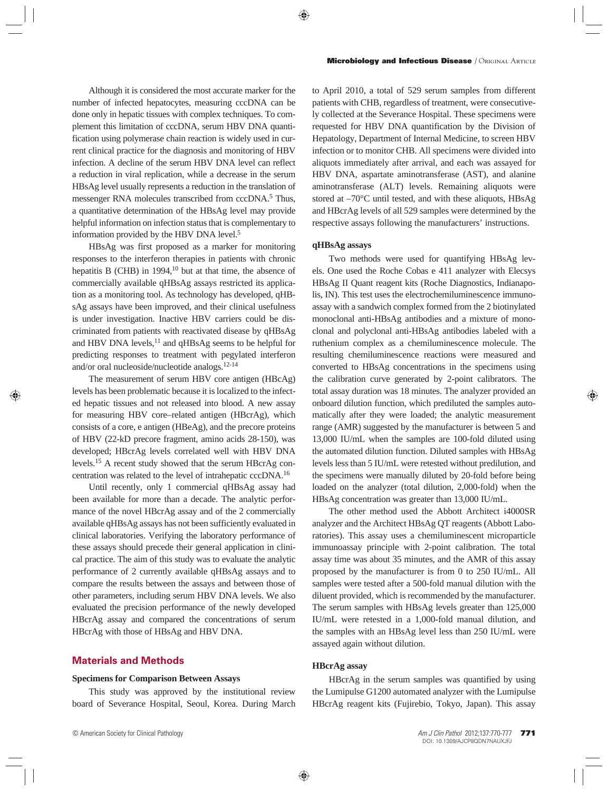Although it is considered the most accurate marker for the number of infected hepatocytes, measuring cccDNA can be done only in hepatic tissues with complex techniques. To complement this limitation of cccDNA, serum HBV DNA quantification using polymerase chain reaction is widely used in current clinical practice for the diagnosis and monitoring of HBV infection. A decline of the serum HBV DNA level can reflect a reduction in viral replication, while a decrease in the serum HBsAg level usually represents a reduction in the translation of messenger RNA molecules transcribed from cccDNA.<sup>5</sup> Thus, a quantitative determination of the HBsAg level may provide helpful information on infection status that is complementary to information provided by the HBV DNA level.<sup>5</sup>

HBsAg was first proposed as a marker for monitoring responses to the interferon therapies in patients with chronic hepatitis B (CHB) in  $1994$ ,<sup>10</sup> but at that time, the absence of commercially available qHBsAg assays restricted its application as a monitoring tool. As technology has developed, qHBsAg assays have been improved, and their clinical usefulness is under investigation. Inactive HBV carriers could be discriminated from patients with reactivated disease by qHBsAg and HBV DNA levels,<sup>11</sup> and qHBsAg seems to be helpful for predicting responses to treatment with pegylated interferon and/or oral nucleoside/nucleotide analogs.12-14

The measurement of serum HBV core antigen (HBcAg) levels has been problematic because it is localized to the infected hepatic tissues and not released into blood. A new assay for measuring HBV core–related antigen (HBcrAg), which consists of a core, e antigen (HBeAg), and the precore proteins of HBV (22-kD precore fragment, amino acids 28-150), was developed; HBcrAg levels correlated well with HBV DNA levels.15 A recent study showed that the serum HBcrAg concentration was related to the level of intrahepatic cccDNA.16

Until recently, only 1 commercial qHBsAg assay had been available for more than a decade. The analytic performance of the novel HBcrAg assay and of the 2 commercially available qHBsAg assays has not been sufficiently evaluated in clinical laboratories. Verifying the laboratory performance of these assays should precede their general application in clinical practice. The aim of this study was to evaluate the analytic performance of 2 currently available qHBsAg assays and to compare the results between the assays and between those of other parameters, including serum HBV DNA levels. We also evaluated the precision performance of the newly developed HBcrAg assay and compared the concentrations of serum HBcrAg with those of HBsAg and HBV DNA.

# **Materials and Methods**

### **Specimens for Comparison Between Assays**

This study was approved by the institutional review board of Severance Hospital, Seoul, Korea. During March to April 2010, a total of 529 serum samples from different patients with CHB, regardless of treatment, were consecutively collected at the Severance Hospital. These specimens were requested for HBV DNA quantification by the Division of Hepatology, Department of Internal Medicine, to screen HBV infection or to monitor CHB. All specimens were divided into aliquots immediately after arrival, and each was assayed for HBV DNA, aspartate aminotransferase (AST), and alanine aminotransferase (ALT) levels. Remaining aliquots were stored at –70°C until tested, and with these aliquots, HBsAg and HBcrAg levels of all 529 samples were determined by the respective assays following the manufacturers' instructions.

#### **qHBsAg assays**

Two methods were used for quantifying HBsAg levels. One used the Roche Cobas e 411 analyzer with Elecsys HBsAg II Quant reagent kits (Roche Diagnostics, Indianapolis, IN). This test uses the electrochemiluminescence immunoassay with a sandwich complex formed from the 2 biotinylated monoclonal anti-HBsAg antibodies and a mixture of monoclonal and polyclonal anti-HBsAg antibodies labeled with a ruthenium complex as a chemiluminescence molecule. The resulting chemiluminescence reactions were measured and converted to HBsAg concentrations in the specimens using the calibration curve generated by 2-point calibrators. The total assay duration was 18 minutes. The analyzer provided an onboard dilution function, which prediluted the samples automatically after they were loaded; the analytic measurement range (AMR) suggested by the manufacturer is between 5 and 13,000 IU/mL when the samples are 100-fold diluted using the automated dilution function. Diluted samples with HBsAg levels less than 5 IU/mL were retested without predilution, and the specimens were manually diluted by 20-fold before being loaded on the analyzer (total dilution, 2,000-fold) when the HBsAg concentration was greater than 13,000 IU/mL.

The other method used the Abbott Architect i4000SR analyzer and the Architect HBsAg QT reagents (Abbott Laboratories). This assay uses a chemiluminescent microparticle immunoassay principle with 2-point calibration. The total assay time was about 35 minutes, and the AMR of this assay proposed by the manufacturer is from 0 to 250 IU/mL. All samples were tested after a 500-fold manual dilution with the diluent provided, which is recommended by the manufacturer. The serum samples with HBsAg levels greater than 125,000 IU/mL were retested in a 1,000-fold manual dilution, and the samples with an HBsAg level less than 250 IU/mL were assayed again without dilution.

### **HBcrAg assay**

HBcrAg in the serum samples was quantified by using the Lumipulse G1200 automated analyzer with the Lumipulse HBcrAg reagent kits (Fujirebio, Tokyo, Japan). This assay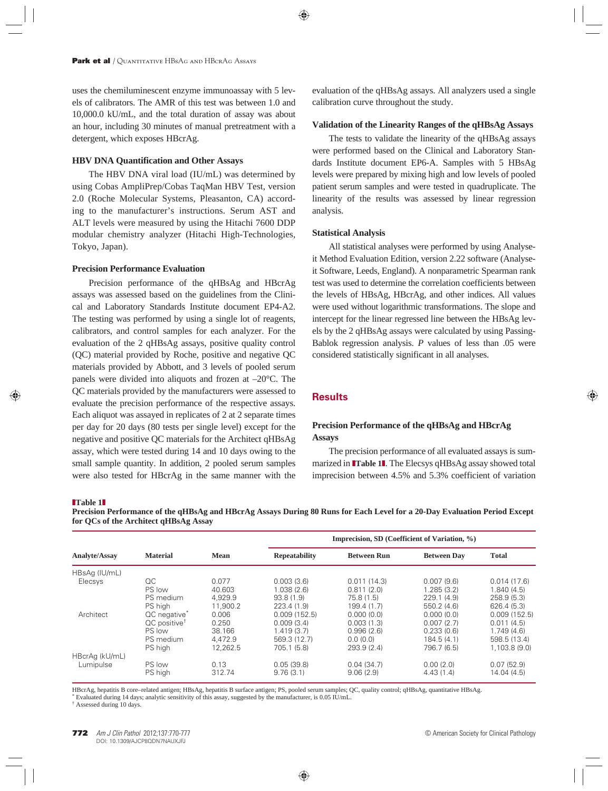uses the chemiluminescent enzyme immunoassay with 5 levels of calibrators. The AMR of this test was between 1.0 and 10,000.0 kU/mL, and the total duration of assay was about an hour, including 30 minutes of manual pretreatment with a detergent, which exposes HBcrAg.

### **HBV DNA Quantification and Other Assays**

The HBV DNA viral load (IU/mL) was determined by using Cobas AmpliPrep/Cobas TaqMan HBV Test, version 2.0 (Roche Molecular Systems, Pleasanton, CA) according to the manufacturer's instructions. Serum AST and ALT levels were measured by using the Hitachi 7600 DDP modular chemistry analyzer (Hitachi High-Technologies, Tokyo, Japan).

### **Precision Performance Evaluation**

Precision performance of the qHBsAg and HBcrAg assays was assessed based on the guidelines from the Clinical and Laboratory Standards Institute document EP4-A2. The testing was performed by using a single lot of reagents, calibrators, and control samples for each analyzer. For the evaluation of the 2 qHBsAg assays, positive quality control (QC) material provided by Roche, positive and negative QC materials provided by Abbott, and 3 levels of pooled serum panels were divided into aliquots and frozen at –20°C. The QC materials provided by the manufacturers were assessed to evaluate the precision performance of the respective assays. Each aliquot was assayed in replicates of 2 at 2 separate times per day for 20 days (80 tests per single level) except for the negative and positive QC materials for the Architect qHBsAg assay, which were tested during 14 and 10 days owing to the small sample quantity. In addition, 2 pooled serum samples were also tested for HBcrAg in the same manner with the

evaluation of the qHBsAg assays. All analyzers used a single calibration curve throughout the study.

### **Validation of the Linearity Ranges of the qHBsAg Assays**

The tests to validate the linearity of the qHBsAg assays were performed based on the Clinical and Laboratory Standards Institute document EP6-A. Samples with 5 HBsAg levels were prepared by mixing high and low levels of pooled patient serum samples and were tested in quadruplicate. The linearity of the results was assessed by linear regression analysis.

### **Statistical Analysis**

All statistical analyses were performed by using Analyseit Method Evaluation Edition, version 2.22 software (Analyseit Software, Leeds, England). A nonparametric Spearman rank test was used to determine the correlation coefficients between the levels of HBsAg, HBcrAg, and other indices. All values were used without logarithmic transformations. The slope and intercept for the linear regressed line between the HBsAg levels by the 2 qHBsAg assays were calculated by using Passing-Bablok regression analysis. *P* values of less than .05 were considered statistically significant in all analyses.

# **Results**

# **Precision Performance of the qHBsAg and HBcrAg Assays**

The precision performance of all evaluated assays is summarized in **∎Table 1∎**. The Elecsys qHBsAg assay showed total imprecision between 4.5% and 5.3% coefficient of variation

#### ❚**Table 1**❚

**Precision Performance of the qHBsAg and HBcrAg Assays During 80 Runs for Each Level for a 20-Day Evaluation Period Except for QCs of the Architect qHBsAg Assay**

| <b>Analyte/Assay</b> | <b>Material</b>          | <b>Mean</b> | Imprecision, SD (Coefficient of Variation, %) |                    |                    |              |
|----------------------|--------------------------|-------------|-----------------------------------------------|--------------------|--------------------|--------------|
|                      |                          |             | <b>Repeatability</b>                          | <b>Between Run</b> | <b>Between Day</b> | <b>Total</b> |
| HBsAg (IU/mL)        |                          |             |                                               |                    |                    |              |
| Elecsys              | QC                       | 0.077       | 0.003(3.6)                                    | 0.011(14.3)        | 0.007(9.6)         | 0.014(17.6)  |
|                      | PS low                   | 40.603      | 1.038(2.6)                                    | 0.811(2.0)         | 1.285(3.2)         | 1.840(4.5)   |
|                      | PS medium                | 4.929.9     | 93.8(1.9)                                     | 75.8 (1.5)         | 229.1(4.9)         | 258.9(5.3)   |
|                      | PS high                  | 11.900.2    | 223.4 (1.9)                                   | 199.4 (1.7)        | 550.2 (4.6)        | 626.4 (5.3)  |
| Architect            | QC negative <sup>*</sup> | 0.006       | 0.009(152.5)                                  | 0.000(0.0)         | 0.000(0.0)         | 0.009(152.5) |
|                      | QC positive <sup>+</sup> | 0.250       | 0.009(3.4)                                    | 0.003(1.3)         | 0.007(2.7)         | 0.011(4.5)   |
|                      | PS low                   | 38.166      | 1.419(3.7)                                    | 0.996(2.6)         | 0.233(0.6)         | 1.749(4.6)   |
|                      | PS medium                | 4.472.9     | 569.3 (12.7)                                  | 0.0(0.0)           | 184.5 (4.1)        | 598.5 (13.4) |
|                      | PS high                  | 12.262.5    | 705.1 (5.8)                                   | 293.9 (2.4)        | 796.7 (6.5)        | 1,103.8(9.0) |
| HBcrAg (kU/mL)       |                          |             |                                               |                    |                    |              |
| Lumipulse            | PS low                   | 0.13        | 0.05(39.8)                                    | 0.04(34.7)         | 0.00(2.0)          | 0.07(52.9)   |
|                      | PS high                  | 312.74      | 9.76(3.1)                                     | 9.06(2.9)          | 4.43(1.4)          | 14.04 (4.5)  |

HBcrAg, hepatitis B core–related antigen; HBsAg, hepatitis B surface antigen; PS, pooled serum samples; QC, quality control; qHBsAg, quantitative HBsAg. \* Evaluated during 14 days; analytic sensitivity of this assay, suggested by the manufacturer, is 0.05 IU/mL.

† Assessed during 10 days.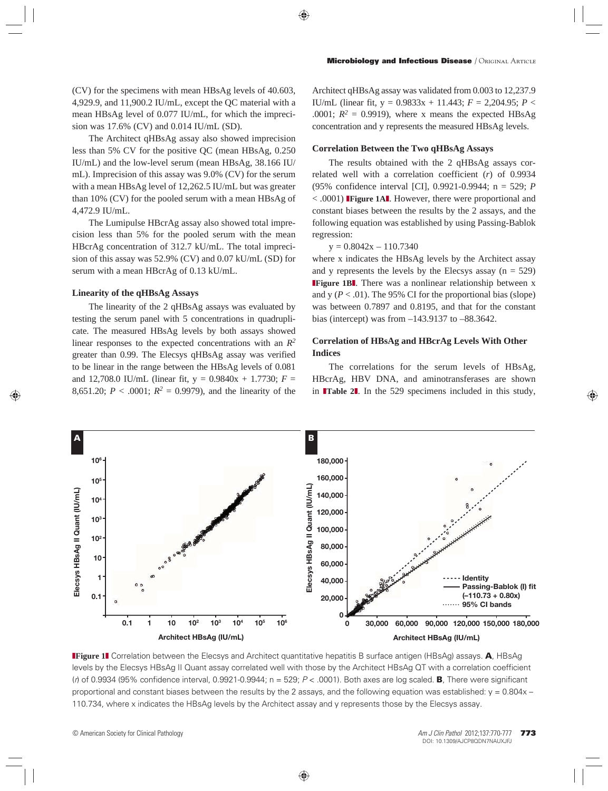(CV) for the specimens with mean HBsAg levels of 40.603, 4,929.9, and 11,900.2 IU/mL, except the QC material with a mean HBsAg level of 0.077 IU/mL, for which the imprecision was 17.6% (CV) and 0.014 IU/mL (SD).

The Architect qHBsAg assay also showed imprecision less than 5% CV for the positive QC (mean HBsAg, 0.250 IU/mL) and the low-level serum (mean HBsAg, 38.166 IU/ mL). Imprecision of this assay was 9.0% (CV) for the serum with a mean HBsAg level of 12,262.5 IU/mL but was greater than 10% (CV) for the pooled serum with a mean HBsAg of 4,472.9 IU/mL.

The Lumipulse HBcrAg assay also showed total imprecision less than 5% for the pooled serum with the mean HBcrAg concentration of 312.7 kU/mL. The total imprecision of this assay was 52.9% (CV) and 0.07 kU/mL (SD) for serum with a mean HBcrAg of 0.13 kU/mL.

## **Linearity of the qHBsAg Assays**

The linearity of the 2 qHBsAg assays was evaluated by testing the serum panel with 5 concentrations in quadruplicate. The measured HBsAg levels by both assays showed linear responses to the expected concentrations with an *R2* greater than 0.99. The Elecsys qHBsAg assay was verified to be linear in the range between the HBsAg levels of 0.081 and 12,708.0 IU/mL (linear fit,  $y = 0.9840x + 1.7730$ ;  $F =$ 8,651.20;  $P < .0001$ ;  $R^2 = 0.9979$ ), and the linearity of the

Architect qHBsAg assay was validated from 0.003 to 12,237.9 IU/mL (linear fit, y = 0.9833x + 11.443; *F* = 2,204.95; *P* < .0001;  $R^2 = 0.9919$ ), where x means the expected HBsAg concentration and y represents the measured HBsAg levels.

# **Correlation Between the Two qHBsAg Assays**

The results obtained with the 2 qHBsAg assays correlated well with a correlation coefficient (*r*) of 0.9934 (95% confidence interval [CI], 0.9921-0.9944; n = 529; *P*  < .0001) ❚**Figure 1A**❚. However, there were proportional and constant biases between the results by the 2 assays, and the following equation was established by using Passing-Bablok regression:

$$
y = 0.8042x - 110.7340
$$

where x indicates the HBsAg levels by the Architect assay and y represents the levels by the Elecsys assay  $(n = 529)$ **IFigure 1B**. There was a nonlinear relationship between x and y  $(P < .01)$ . The 95% CI for the proportional bias (slope) was between 0.7897 and 0.8195, and that for the constant bias (intercept) was from –143.9137 to –88.3642.

# **Correlation of HBsAg and HBcrAg Levels With Other Indices**

The correlations for the serum levels of HBsAg, HBcrAg, HBV DNA, and aminotransferases are shown in **Table 2**. In the 529 specimens included in this study,



❚**Figure 1**❚ Correlation between the Elecsys and Architect quantitative hepatitis B surface antigen (HBsAg) assays. **A**, HBsAg levels by the Elecsys HBsAg II Quant assay correlated well with those by the Architect HBsAg QT with a correlation coefficient (r) of 0.9934 (95% confidence interval, 0.9921-0.9944; n = 529; P < .0001). Both axes are log scaled. **B**, There were significant proportional and constant biases between the results by the 2 assays, and the following equation was established:  $y = 0.804x -$ 110.734, where x indicates the HBsAg levels by the Architect assay and y represents those by the Elecsys assay.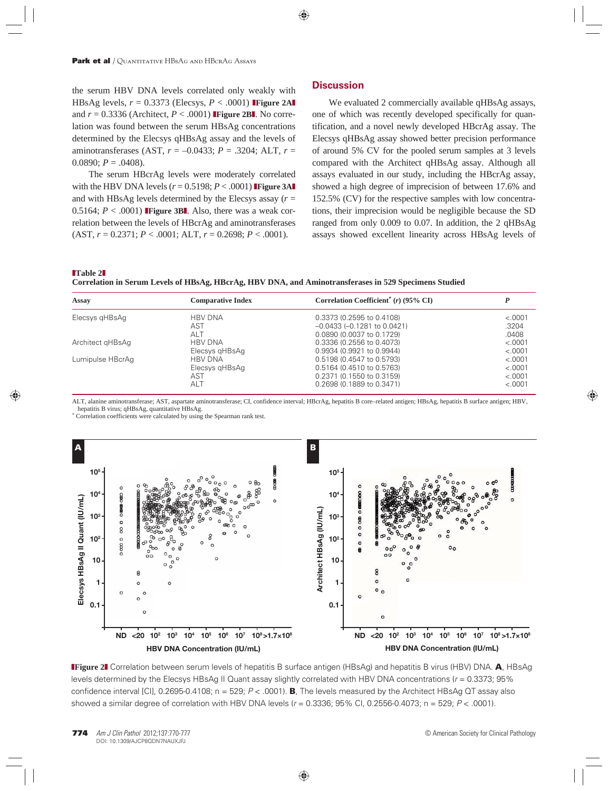the serum HBV DNA levels correlated only weakly with HBsAg levels,  $r = 0.3373$  (Elecsys,  $P < .0001$ ) **Figure 2AI** and  $r = 0.3336$  (Architect,  $P < .0001$ ) **Figure 2BI**. No correlation was found between the serum HBsAg concentrations determined by the Elecsys qHBsAg assay and the levels of aminotransferases (AST, *r* = –0.0433; *P* = .3204; ALT, *r* = 0.0890;  $P = .0408$ ).

The serum HBcrAg levels were moderately correlated with the HBV DNA levels  $(r = 0.5198; P < .0001)$  **Figure 3AI** and with HBsAg levels determined by the Elecsys assay (*r* = 0.5164;  $P < .0001$ ) **Figure 3BL** Also, there was a weak correlation between the levels of HBcrAg and aminotransferases (AST, *r* = 0.2371; *P* < .0001; ALT, *r* = 0.2698; *P* < .0001).

# **Discussion**

We evaluated 2 commercially available qHBsAg assays, one of which was recently developed specifically for quantification, and a novel newly developed HBcrAg assay. The Elecsys qHBsAg assay showed better precision performance of around 5% CV for the pooled serum samples at 3 levels compared with the Architect qHBsAg assay. Although all assays evaluated in our study, including the HBcrAg assay, showed a high degree of imprecision of between 17.6% and 152.5% (CV) for the respective samples with low concentrations, their imprecision would be negligible because the SD ranged from only 0.009 to 0.07. In addition, the 2 qHBsAg assays showed excellent linearity across HBsAg levels of

### ❚**Table 2**❚

**Correlation in Serum Levels of HBsAg, HBcrAg, HBV DNA, and Aminotransferases in 529 Specimens Studied**

| Assay            | <b>Comparative Index</b> | Correlation Coefficient <sup>*</sup> ( $r$ ) (95% CI) |         |
|------------------|--------------------------|-------------------------------------------------------|---------|
| Elecsys gHBsAg   | <b>HBV DNA</b>           | 0.3373 (0.2595 to 0.4108)                             | < .0001 |
|                  | AST                      | $-0.0433$ ( $-0.1281$ to $0.0421$ )                   | .3204   |
|                  | ALT                      | 0.0890 (0.0037 to 0.1729)                             | .0408   |
| Architect gHBsAg | <b>HBV DNA</b>           | 0.3336 (0.2556 to 0.4073)                             | < .0001 |
|                  | Elecsys gHBsAg           | 0.9934 (0.9921 to 0.9944)                             | < .0001 |
| Lumipulse HBcrAq | <b>HBV DNA</b>           | 0.5198 (0.4547 to 0.5793)                             | < .0001 |
|                  | Elecsys gHBsAg           | 0.5164 (0.4510 to 0.5763)                             | < .0001 |
|                  | AST                      | 0.2371 (0.1550 to 0.3159)                             | < .0001 |
|                  | ALT                      | 0.2698 (0.1889 to 0.3471)                             | < .0001 |

ALT, alanine aminotransferase; AST, aspartate aminotransferase; CI, confidence interval; HBcrAg, hepatitis B core–related antigen; HBsAg, hepatitis B surface antigen; HBV, hepatitis B virus; qHBsAg, quantitative HBsAg.

\* Correlation coefficients were calculated by using the Spearman rank test.



**IFigure 2** Correlation between serum levels of hepatitis B surface antigen (HBsAg) and hepatitis B virus (HBV) DNA. **A**, HBsAg levels determined by the Elecsys HBsAg II Quant assay slightly correlated with HBV DNA concentrations ( $r = 0.3373$ ; 95% confidence interval [CI], 0.2695-0.4108; n = 529; P < .0001). **B**, The levels measured by the Architect HBsAg QT assay also showed a similar degree of correlation with HBV DNA levels ( $r = 0.3336$ ; 95% Cl, 0.2556-0.4073; n = 529;  $P < .0001$ ).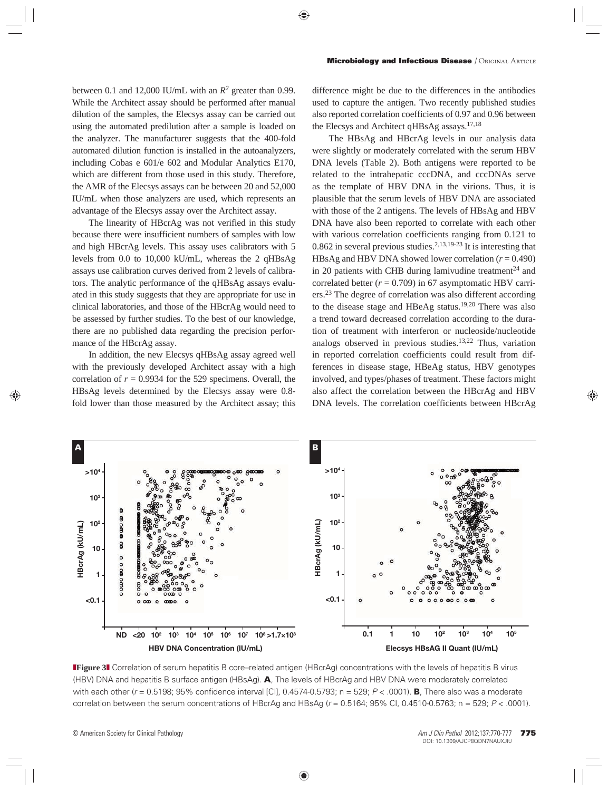between 0.1 and 12,000 IU/mL with an *R2* greater than 0.99. While the Architect assay should be performed after manual dilution of the samples, the Elecsys assay can be carried out using the automated predilution after a sample is loaded on the analyzer. The manufacturer suggests that the 400-fold automated dilution function is installed in the autoanalyzers, including Cobas e 601/e 602 and Modular Analytics E170, which are different from those used in this study. Therefore, the AMR of the Elecsys assays can be between 20 and 52,000 IU/mL when those analyzers are used, which represents an advantage of the Elecsys assay over the Architect assay.

The linearity of HBcrAg was not verified in this study because there were insufficient numbers of samples with low and high HBcrAg levels. This assay uses calibrators with 5 levels from 0.0 to 10,000 kU/mL, whereas the 2 qHBsAg assays use calibration curves derived from 2 levels of calibrators. The analytic performance of the qHBsAg assays evaluated in this study suggests that they are appropriate for use in clinical laboratories, and those of the HBcrAg would need to be assessed by further studies. To the best of our knowledge, there are no published data regarding the precision performance of the HBcrAg assay.

In addition, the new Elecsys qHBsAg assay agreed well with the previously developed Architect assay with a high correlation of  $r = 0.9934$  for the 529 specimens. Overall, the HBsAg levels determined by the Elecsys assay were 0.8 fold lower than those measured by the Architect assay; this difference might be due to the differences in the antibodies used to capture the antigen. Two recently published studies also reported correlation coefficients of 0.97 and 0.96 between the Elecsys and Architect qHBsAg assays.17,18

The HBsAg and HBcrAg levels in our analysis data were slightly or moderately correlated with the serum HBV DNA levels (Table 2). Both antigens were reported to be related to the intrahepatic cccDNA, and cccDNAs serve as the template of HBV DNA in the virions. Thus, it is plausible that the serum levels of HBV DNA are associated with those of the 2 antigens. The levels of HBsAg and HBV DNA have also been reported to correlate with each other with various correlation coefficients ranging from 0.121 to 0.862 in several previous studies.<sup>2,13,19-23</sup> It is interesting that HBsAg and HBV DNA showed lower correlation  $(r = 0.490)$ in 20 patients with CHB during lamivudine treatment $24$  and correlated better  $(r = 0.709)$  in 67 asymptomatic HBV carriers.23 The degree of correlation was also different according to the disease stage and HBeAg status.19,20 There was also a trend toward decreased correlation according to the duration of treatment with interferon or nucleoside/nucleotide analogs observed in previous studies.13,22 Thus, variation in reported correlation coefficients could result from differences in disease stage, HBeAg status, HBV genotypes involved, and types/phases of treatment. These factors might also affect the correlation between the HBcrAg and HBV DNA levels. The correlation coefficients between HBcrAg



**Figure 3** Correlation of serum hepatitis B core–related antigen (HBcrAg) concentrations with the levels of hepatitis B virus (HBV) DNA and hepatitis B surface antigen (HBsAg). **A**, The levels of HBcrAg and HBV DNA were moderately correlated with each other (r = 0.5198; 95% confidence interval [CI], 0.4574-0.5793; n = 529; P < .0001). **B**, There also was a moderate correlation between the serum concentrations of HBcrAg and HBsAg ( $r = 0.5164$ ; 95% Cl, 0.4510-0.5763; n = 529; P < .0001).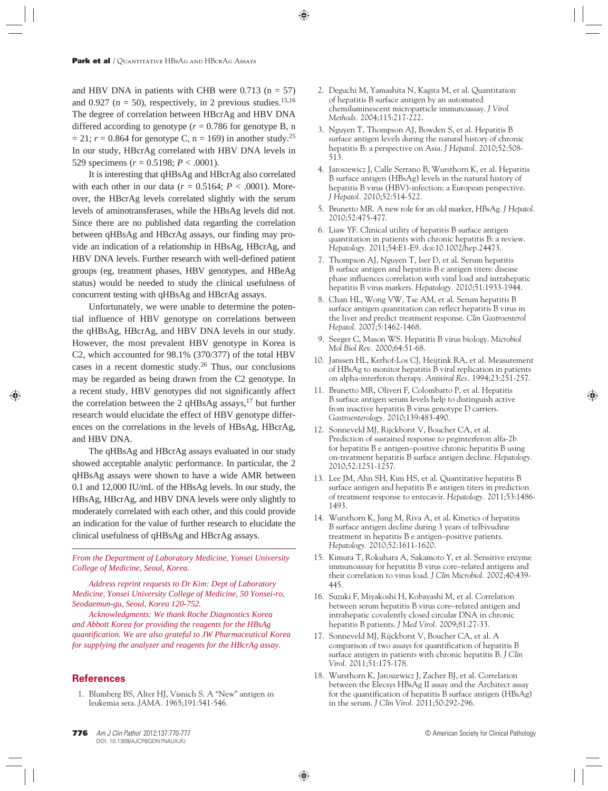and HBV DNA in patients with CHB were  $0.713$  (n = 57) and 0.927 ( $n = 50$ ), respectively, in 2 previous studies.<sup>15,16</sup> The degree of correlation between HBcrAg and HBV DNA differed according to genotype  $(r = 0.786$  for genotype B, n  $= 21$ ;  $r = 0.864$  for genotype C,  $n = 169$ ) in another study.<sup>25</sup> In our study, HBcrAg correlated with HBV DNA levels in 529 specimens (*r* = 0.5198; *P* < .0001).

It is interesting that qHBsAg and HBcrAg also correlated with each other in our data ( $r = 0.5164$ ;  $P < .0001$ ). Moreover, the HBcrAg levels correlated slightly with the serum levels of aminotransferases, while the HBsAg levels did not. Since there are no published data regarding the correlation between qHBsAg and HBcrAg assays, our finding may provide an indication of a relationship in HBsAg, HBcrAg, and HBV DNA levels. Further research with well-defined patient groups (eg, treatment phases, HBV genotypes, and HBeAg status) would be needed to study the clinical usefulness of concurrent testing with qHBsAg and HBcrAg assays.

Unfortunately, we were unable to determine the potential influence of HBV genotype on correlations between the qHBsAg, HBcrAg, and HBV DNA levels in our study. However, the most prevalent HBV genotype in Korea is C2, which accounted for 98.1% (370/377) of the total HBV cases in a recent domestic study.26 Thus, our conclusions may be regarded as being drawn from the C2 genotype. In a recent study, HBV genotypes did not significantly affect the correlation between the 2 qHBsAg assays, $^{17}$  but further research would elucidate the effect of HBV genotype differences on the correlations in the levels of HBsAg, HBcrAg, and HBV DNA.

The qHBsAg and HBcrAg assays evaluated in our study showed acceptable analytic performance. In particular, the 2 qHBsAg assays were shown to have a wide AMR between 0.1 and 12,000 IU/mL of the HBsAg levels. In our study, the HBsAg, HBcrAg, and HBV DNA levels were only slightly to moderately correlated with each other, and this could provide an indication for the value of further research to elucidate the clinical usefulness of qHBsAg and HBcrAg assays.

*From the Department of Laboratory Medicine, Yonsei University College of Medicine, Seoul, Korea.*

*Address reprint requests to Dr Kim: Dept of Laboratory Medicine, Yonsei University College of Medicine, 50 Yonsei-ro, Seodaemun-gu, Seoul, Korea 120-752.*

*Acknowledgments: We thank Roche Diagnostics Korea and Abbott Korea for providing the reagents for the HBsAg quantification. We are also grateful to JW Pharmaceutical Korea for supplying the analyzer and reagents for the HBcrAg assay.*

# **References**

 1. Blumberg BS, Alter HJ, Visnich S. A "New" antigen in leukemia sera. *JAMA.* 1965;191:541-546.

- 2. Deguchi M, Yamashita N, Kagita M, et al. Quantitation of hepatitis B surface antigen by an automated chemiluminescent microparticle immunoassay. *J Virol Methods.* 2004;115:217-222.
- 3. Nguyen T, Thompson AJ, Bowden S, et al. Hepatitis B surface antigen levels during the natural history of chronic hepatitis B: a perspective on Asia. *J Hepatol.* 2010;52:508- 513.
- 4. Jaroszewicz J, Calle Serrano B, Wursthorn K, et al. Hepatitis B surface antigen (HBsAg) levels in the natural history of hepatitis B virus (HBV)-infection: a European perspective. *J Hepatol.* 2010;52:514-522.
- 5. Brunetto MR. A new role for an old marker, HBsAg. *J Hepatol.*  2010;52:475-477.
- 6. Liaw YF. Clinical utility of hepatitis B surface antigen quantitation in patients with chronic hepatitis B: a review. *Hepatology.* 2011;54:E1-E9. doi:10.1002/hep.24473.
- 7. Thompson AJ, Nguyen T, Iser D, et al. Serum hepatitis B surface antigen and hepatitis B e antigen titers: disease phase influences correlation with viral load and intrahepatic hepatitis B virus markers. *Hepatology.* 2010;51:1933-1944.
- 8. Chan HL, Wong VW, Tse AM, et al. Serum hepatitis B surface antigen quantitation can reflect hepatitis B virus in the liver and predict treatment response. *Clin Gastroenterol Hepatol.* 2007;5:1462-1468.
- 9. Seeger C, Mason WS. Hepatitis B virus biology. *Microbiol Mol Biol Rev.* 2000;64:51-68.
- 10. Janssen HL, Kerhof-Los CJ, Heijtink RA, et al. Measurement of HBsAg to monitor hepatitis B viral replication in patients on alpha-interferon therapy. *Antiviral Res.* 1994;23:251-257.
- 11. Brunetto MR, Oliveri F, Colombatto P, et al. Hepatitis B surface antigen serum levels help to distinguish active from inactive hepatitis B virus genotype D carriers. *Gastroenterology.* 2010;139:483-490.
- 12. Sonneveld MJ, Rijckborst V, Boucher CA, et al. Prediction of sustained response to peginterferon alfa-2b for hepatitis B e antigen–positive chronic hepatitis B using on-treatment hepatitis B surface antigen decline. *Hepatology.*  2010;52:1251-1257.
- 13. Lee JM, Ahn SH, Kim HS, et al. Quantitative hepatitis B surface antigen and hepatitis B e antigen titers in prediction of treatment response to entecavir. *Hepatology.* 2011;53:1486- 1493.
- 14. Wursthorn K, Jung M, Riva A, et al. Kinetics of hepatitis B surface antigen decline during 3 years of telbivudine treatment in hepatitis B e antigen–positive patients. *Hepatology.* 2010;52:1611-1620.
- 15. Kimura T, Rokuhara A, Sakamoto Y, et al. Sensitive enzyme immunoassay for hepatitis B virus core–related antigens and their correlation to virus load. *J Clin Microbiol.* 2002;40:439- 445.
- 16. Suzuki F, Miyakoshi H, Kobayashi M, et al. Correlation between serum hepatitis B virus core–related antigen and intrahepatic covalently closed circular DNA in chronic hepatitis B patients. *J Med Virol.* 2009;81:27-33.
- 17. Sonneveld MJ, Rijckborst V, Boucher CA, et al. A comparison of two assays for quantification of hepatitis B surface antigen in patients with chronic hepatitis B. *J Clin Virol.* 2011;51:175-178.
- 18. Wursthorn K, Jaroszewicz J, Zacher BJ, et al. Correlation between the Elecsys HBsAg II assay and the Architect assay for the quantification of hepatitis B surface antigen (HBsAg) in the serum. *J Clin Virol.* 2011;50:292-296.